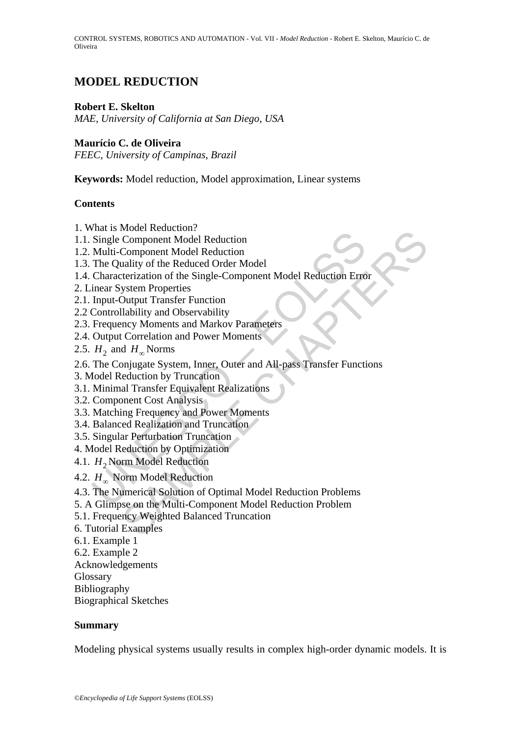# **MODEL REDUCTION**

## **Robert E. Skelton**

*MAE*, *University of California at San Diego*, *USA* 

## **Maurício C. de Oliveira**

*FEEC*, *University of Campinas*, *Brazil*

**Keywords:** Model reduction, Model approximation, Linear systems

## **Contents**

- 1. What is Model Reduction?
- 1.1. Single Component Model Reduction
- 1.2. Multi-Component Model Reduction
- 1.3. The Quality of the Reduced Order Model
- 1.4. Characterization of the Single-Component Model Reduction Error
- 2. Linear System Properties
- 2.1. Input-Output Transfer Function
- 2.2 Controllability and Observability
- 2.3. Frequency Moments and Markov Parameters
- 2.4. Output Correlation and Power Moments
- 2.5. *H*<sub>2</sub> and *H*<sub>∞</sub> Norms
- France Included Reduction<br>Component Model Reduction<br>Component Model Reduction<br>anality of the Reduced Order Model<br>reterization of the Single-Component Model Reduction Error<br>ystem Properties<br>Sutput Transfer Function<br>and Mar 2.6. The Conjugate System, Inner, Outer and All-pass Transfer Functions
- 3. Model Reduction by Truncation
- 3.1. Minimal Transfer Equivalent Realizations
- 3.2. Component Cost Analysis
- 3.3. Matching Frequency and Power Moments
- 3.4. Balanced Realization and Truncation
- 3.5. Singular Perturbation Truncation
- 4. Model Reduction by Optimization
- 4.1. *H*<sub>2</sub> Norm Model Reduction
- 4.2. *H*∞ Norm Model Reduction
- Final Procedit Netation<br>
Single Component Model Reduction<br>
Multi-Component Model Reduction<br>
The Quality of the Reduced Order Model<br>
Characterization of the Single-Component Model Reduction Erro<br>
innear System Properties<br> 4.3. The Numerical Solution of Optimal Model Reduction Problems
- 5. A Glimpse on the Multi-Component Model Reduction Problem
- 5.1. Frequency Weighted Balanced Truncation
- 6. Tutorial Examples
- 6.1. Example 1
- 6.2. Example 2
- Acknowledgements
- **Glossary**
- Bibliography

Biographical Sketches

## **Summary**

Modeling physical systems usually results in complex high-order dynamic models. It is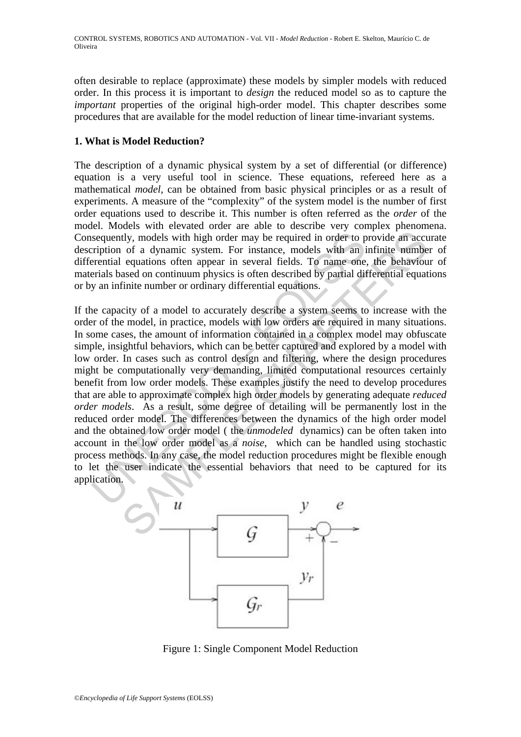often desirable to replace (approximate) these models by simpler models with reduced order. In this process it is important to *design* the reduced model so as to capture the *important* properties of the original high-order model. This chapter describes some procedures that are available for the model reduction of linear time-invariant systems.

## **1. What is Model Reduction?**

The description of a dynamic physical system by a set of differential (or difference) equation is a very useful tool in science. These equations, refereed here as a mathematical *model*, can be obtained from basic physical principles or as a result of experiments. A measure of the "complexity" of the system model is the number of first order equations used to describe it. This number is often referred as the *order* of the model. Models with elevated order are able to describe very complex phenomena. Consequently, models with high order may be required in order to provide an accurate description of a dynamic system. For instance, models with an infinite number of differential equations often appear in several fields. To name one, the behaviour of materials based on continuum physics is often described by partial differential equations or by an infinite number or ordinary differential equations.

sequently, models with high order may be required in order to pription of a dynamic system. For instance, models with an internial equations often appear in several fields. To name one errials based on continuum physics is ty, models with high order may be required in order to provide an acctor<br>to a dynamic system. For instance, models with an infinite numbe<br>equations often appear in several fields. To name one, the behaviou<br>equations often If the capacity of a model to accurately describe a system seems to increase with the order of the model, in practice, models with low orders are required in many situations. In some cases, the amount of information contained in a complex model may obfuscate simple, insightful behaviors, which can be better captured and explored by a model with low order. In cases such as control design and filtering, where the design procedures might be computationally very demanding, limited computational resources certainly benefit from low order models. These examples justify the need to develop procedures that are able to approximate complex high order models by generating adequate *reduced order models*. As a result, some degree of detailing will be permanently lost in the reduced order model. The differences between the dynamics of the high order model and the obtained low order model ( the *unmodeled* dynamics) can be often taken into account in the low order model as a *noise*, which can be handled using stochastic process methods. In any case, the model reduction procedures might be flexible enough to let the user indicate the essential behaviors that need to be captured for its application.



Figure 1: Single Component Model Reduction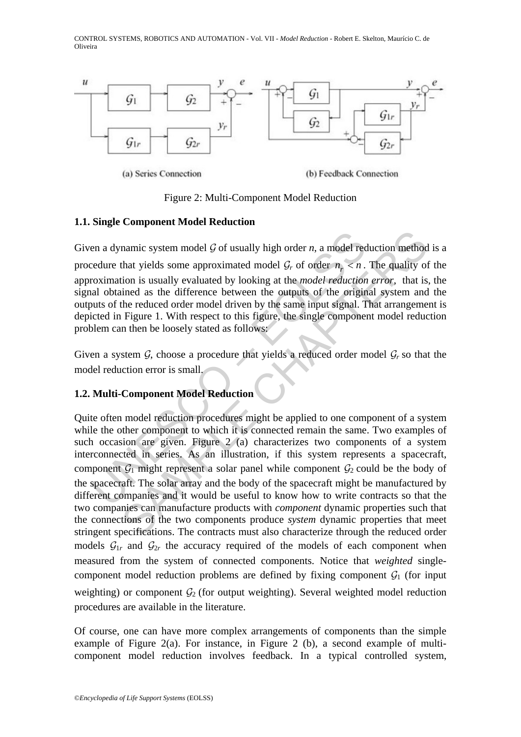

Figure 2: Multi-Component Model Reduction

## **1.1. Single Component Model Reduction**

Given a dynamic system model  $G$  of usually high order  $n$ , a model reduction method is a procedure that yields some approximated model  $\mathcal{G}_r$  of order  $n_r < n$ . The quality of the approximation is usually evaluated by looking at the *model reduction error*, that is, the signal obtained as the difference between the outputs of the original system and the outputs of the reduced order model driven by the same input signal. That arrangement is depicted in Figure 1. With respect to this figure, the single component model reduction problem can then be loosely stated as follows:

Given a system  $G$ , choose a procedure that yields a reduced order model  $G_r$  so that the model reduction error is small.

## **1.2. Multi-Component Model Reduction**

en a dynamic system model  $G$  of usually high order *n*, a model recedure that yields some approximated model  $G_r$  of order  $n_r < n$ .<br>roximation is usually evaluated by looking at the *model reduction*<br>al obtained as the di namic system model  $G$  of usually high order *n*, a model reduction method<br>that yields some approximated model  $G_r$  of order  $n_r < n$ . The quality of<br>tion is usually evaluated by looking at the *model reduction error*, that Quite often model reduction procedures might be applied to one component of a system while the other component to which it is connected remain the same. Two examples of such occasion are given. Figure 2 (a) characterizes two components of a system interconnected in series. As an illustration, if this system represents a spacecraft, component  $G_1$  might represent a solar panel while component  $G_2$  could be the body of the spacecraft. The solar array and the body of the spacecraft might be manufactured by different companies and it would be useful to know how to write contracts so that the two companies can manufacture products with *component* dynamic properties such that the connections of the two components produce *system* dynamic properties that meet stringent specifications. The contracts must also characterize through the reduced order models  $G_{1r}$  and  $G_{2r}$  the accuracy required of the models of each component when measured from the system of connected components. Notice that *weighted* singlecomponent model reduction problems are defined by fixing component  $G_1$  (for input weighting) or component  $G_2$  (for output weighting). Several weighted model reduction procedures are available in the literature.

Of course, one can have more complex arrangements of components than the simple example of Figure 2(a). For instance, in Figure 2 (b), a second example of multicomponent model reduction involves feedback. In a typical controlled system,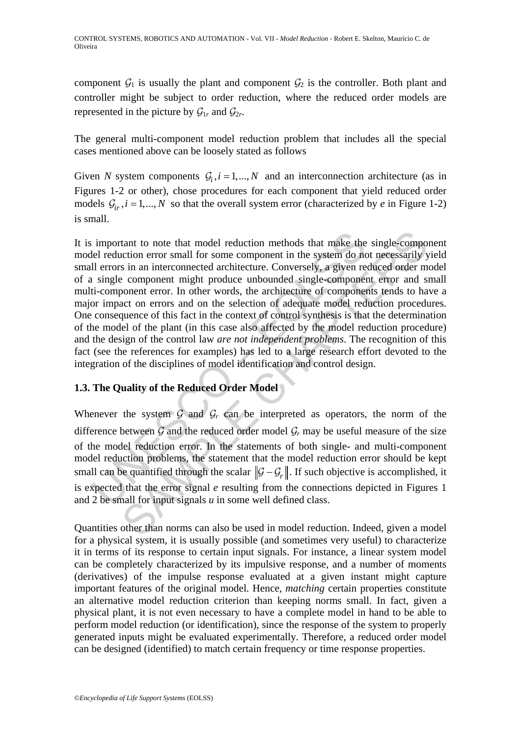component  $G_1$  is usually the plant and component  $G_2$  is the controller. Both plant and controller might be subject to order reduction, where the reduced order models are represented in the picture by  $\mathcal{G}_{1r}$  and  $\mathcal{G}_{2r}$ .

The general multi-component model reduction problem that includes all the special cases mentioned above can be loosely stated as follows

Given *N* system components  $G_i$ ,  $i = 1,..., N$  and an interconnection architecture (as in Figures 1-2 or other), chose procedures for each component that yield reduced order models  $G_i$ ,  $i = 1,..., N$  so that the overall system error (characterized by *e* in Figure 1-2) is small.

important to note that model reduction methods that make the<br>lel reduction error small for some component in the system do not<br>ll errors in an interconnected architecture. Conversely, a given re<br>is ingle component might p tant to note that model reduction methods that make the single-component<br>on error small for some component in the system do not necessarily ys<br>in an interconnected architecture. Conversely, a given reduced order m<br>compone It is important to note that model reduction methods that make the single-component model reduction error small for some component in the system do not necessarily yield small errors in an interconnected architecture. Conversely, a given reduced order model of a single component might produce unbounded single-component error and small multi-component error. In other words, the architecture of components tends to have a major impact on errors and on the selection of adequate model reduction procedures. One consequence of this fact in the context of control synthesis is that the determination of the model of the plant (in this case also affected by the model reduction procedure) and the design of the control law *are not independent problems*. The recognition of this fact (see the references for examples) has led to a large research effort devoted to the integration of the disciplines of model identification and control design.

## **1.3. The Quality of the Reduced Order Model**

Whenever the system  $G$  and  $G_r$  can be interpreted as operators, the norm of the difference between  $G$  and the reduced order model  $G_r$  may be useful measure of the size of the model reduction error. In the statements of both single- and multi-component model reduction problems, the statement that the model reduction error should be kept small can be quantified through the scalar  $\|\mathcal{G} - \mathcal{G}_r\|$ . If such objective is accomplished, it is expected that the error signal *e* resulting from the connections depicted in Figures 1 and 2 be small for input signals *u* in some well defined class.

Quantities other than norms can also be used in model reduction. Indeed, given a model for a physical system, it is usually possible (and sometimes very useful) to characterize it in terms of its response to certain input signals. For instance, a linear system model can be completely characterized by its impulsive response, and a number of moments (derivatives) of the impulse response evaluated at a given instant might capture important features of the original model. Hence, *matching* certain properties constitute an alternative model reduction criterion than keeping norms small. In fact, given a physical plant, it is not even necessary to have a complete model in hand to be able to perform model reduction (or identification), since the response of the system to properly generated inputs might be evaluated experimentally. Therefore, a reduced order model can be designed (identified) to match certain frequency or time response properties.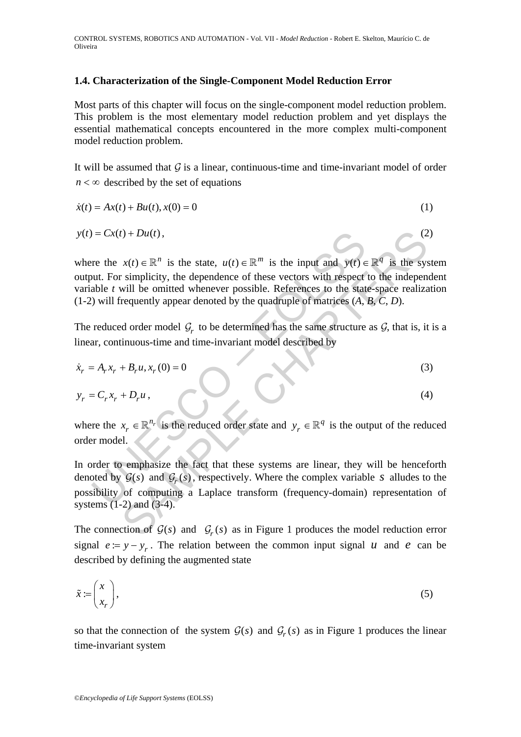## **1.4. Characterization of the Single-Component Model Reduction Error**

Most parts of this chapter will focus on the single-component model reduction problem. This problem is the most elementary model reduction problem and yet displays the essential mathematical concepts encountered in the more complex multi-component model reduction problem.

It will be assumed that  $G$  is a linear, continuous-time and time-invariant model of order  $n < \infty$  described by the set of equations

$$
\dot{x}(t) = Ax(t) + Bu(t), x(0) = 0
$$
\n(1)

$$
y(t) = Cx(t) + Du(t),
$$
\n(2)

 $U = Cx(t) + Du(t)$ ,<br>
re the  $x(t) \in \mathbb{R}^n$  is the state,  $u(t) \in \mathbb{R}^m$  is the input and  $y(t) \in$ <br>
unt. For simplicity, the dependence of these vectors with respect<br>
able t will be omitted whenever possible. References to the where the  $x(t) \in \mathbb{R}^n$  is the state,  $u(t) \in \mathbb{R}^m$  is the input and  $y(t) \in \mathbb{R}^q$  is the system output. For simplicity, the dependence of these vectors with respect to the independent variable *t* will be omitted whenever possible. References to the state-space realization (1-2) will frequently appear denoted by the quadruple of matrices (*A*, *B*, *C*, *D*).

The reduced order model  $G_r$  to be determined has the same structure as  $G$ , that is, it is a linear, continuous-time and time-invariant model described by

$$
\dot{x}_r = A_r x_r + B_r u, x_r(0) = 0 \tag{3}
$$

$$
y_r = C_r x_r + D_r u,\tag{4}
$$

where the  $x_r \in \mathbb{R}^{n_r}$  is the reduced order state and  $y_r \in \mathbb{R}^q$  is the output of the reduced order model.

the Du(t),<br>  $x(t) \in \mathbb{R}^n$  is the state,  $u(t) \in \mathbb{R}^m$  is the input and  $y(t) \in \mathbb{R}^q$  is the system<br>
sumplicity, the dependence of these vectors with respect to the independence<br>
will be omitted whenever possible. In order to emphasize the fact that these systems are linear, they will be henceforth denoted by  $G(s)$  and  $G_r(s)$ , respectively. Where the complex variable *s* alludes to the possibility of computing a Laplace transform (frequency-domain) representation of systems (1-2) and (3-4).

The connection of  $G(s)$  and  $G_r(s)$  as in Figure 1 produces the model reduction error signal  $e := y - y_r$ . The relation between the common input signal *u* and *e* can be described by defining the augmented state

$$
\tilde{x} := \begin{pmatrix} x \\ x_r \end{pmatrix},\tag{5}
$$

so that the connection of the system  $G(s)$  and  $G_r(s)$  as in Figure 1 produces the linear time-invariant system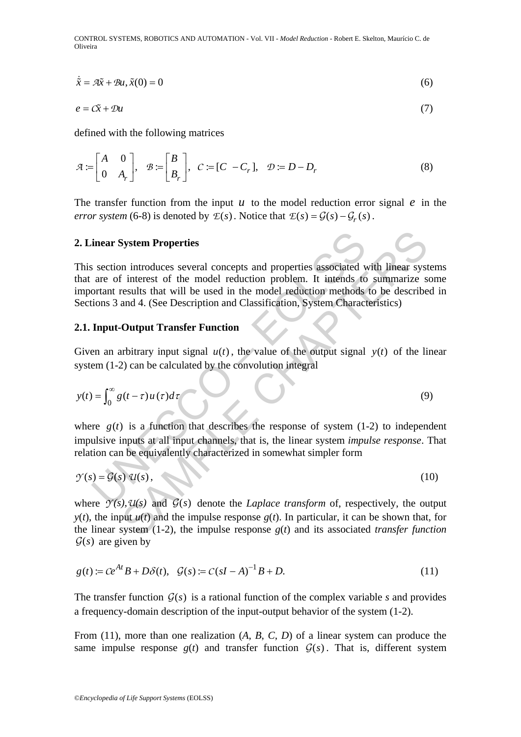$$
\dot{\tilde{x}} = A\tilde{x} + Bu, \tilde{x}(0) = 0
$$
\n<sup>(6)</sup>

$$
e = C\tilde{x} + Du \tag{7}
$$

defined with the following matrices

$$
\mathcal{A} := \begin{bmatrix} A & 0 \\ 0 & A_r \end{bmatrix}, \quad \mathcal{B} := \begin{bmatrix} B \\ B_r \end{bmatrix}, \quad C := [C - C_r], \quad \mathcal{D} := D - D_r \tag{8}
$$

The transfer function from the input  $u$  to the model reduction error signal  $e$  in the *error system* (6-8) is denoted by  $E(s)$ . Notice that  $E(s) = G(s) - G(s)$ .

#### **2. Linear System Properties**

inear System Properties<br>
section introduces several concepts and properties associated v<br>
are of interest of the model reduction problem. It intends to<br>
ortant results that will be used in the model reduction methods<br>
tio System Properties<br>
in introduces several concepts and properties associated with linear system<br>
interest of the model reduction problem. It intends to summarize s<br>
eresults that will be used in the model reduction methods This section introduces several concepts and properties associated with linear systems that are of interest of the model reduction problem. It intends to summarize some important results that will be used in the model reduction methods to be described in Sections 3 and 4. (See Description and Classification, System Characteristics)

### **2.1. Input-Output Transfer Function**

Given an arbitrary input signal  $u(t)$ , the value of the output signal  $y(t)$  of the linear system (1-2) can be calculated by the convolution integral

$$
y(t) = \int_0^\infty g(t-\tau)u(\tau)d\tau
$$
\n(9)

where  $g(t)$  is a function that describes the response of system  $(1-2)$  to independent impulsive inputs at all input channels, that is, the linear system *impulse response*. That relation can be equivalently characterized in somewhat simpler form

$$
\mathcal{Y}(s) = \mathcal{G}(s) \, \mathcal{U}(s),\tag{10}
$$

where  $\gamma(s)$ ,  $\mathcal{U}(s)$  and  $\mathcal{G}(s)$  denote the *Laplace transform* of, respectively, the output  $y(t)$ , the input  $u(t)$  and the impulse response  $g(t)$ . In particular, it can be shown that, for the linear system (1-2), the impulse response *g*(*t*) and its associated *transfer function*  $\mathcal{G}(s)$  are given by

$$
g(t) := Ce^{At}B + D\delta(t), \quad \mathcal{G}(s) := C(sI - A)^{-1}B + D. \tag{11}
$$

The transfer function  $G(s)$  is a rational function of the complex variable *s* and provides a frequency-domain description of the input-output behavior of the system (1-2).

From (11), more than one realization (*A*, *B*, *C*, *D*) of a linear system can produce the same impulse response  $g(t)$  and transfer function  $G(s)$ . That is, different system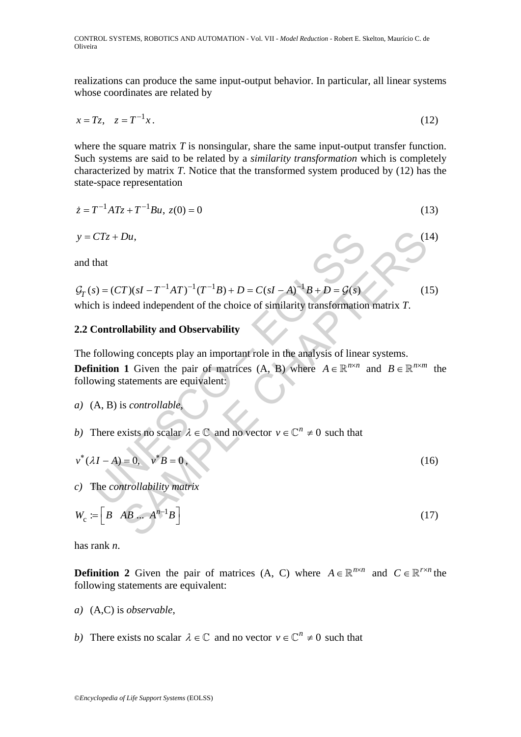realizations can produce the same input-output behavior. In particular, all linear systems whose coordinates are related by

$$
x = Tz, \quad z = T^{-1}x. \tag{12}
$$

where the square matrix *T* is nonsingular, share the same input-output transfer function. Such systems are said to be related by a *similarity transformation* which is completely characterized by matrix *T*. Notice that the transformed system produced by (12) has the state-space representation

$$
\dot{z} = T^{-1}ATz + T^{-1}Bu, \ z(0) = 0 \tag{13}
$$

$$
y = CTz + Du, \tag{14}
$$

and that

$$
\mathcal{G}_T(s) = (CT)(sI - T^{-1}AT)^{-1}(T^{-1}B) + D = C(sI - A)^{-1}B + D = \mathcal{G}(s)
$$
\nwhich is indeed independent of the choice of similarity transformation matrix T.

#### **2.2 Controllability and Observability**

The following concepts play an important role in the analysis of linear systems.

CTz + Du,<br>
that<br>
s) = (CT)(sI - T<sup>-1</sup>AT)<sup>-1</sup>(T<sup>-1</sup>B) + D = C(sI - A)<sup>-1</sup>B + D = G(s)<br>
ch is indeed independent of the choice of similarity transformation<br> **Controllability and Observability**<br>
following concepts play an im **Definition 1** Given the pair of matrices  $(A, B)$  where  $A \in \mathbb{R}^{n \times n}$  and  $B \in \mathbb{R}^{n \times m}$  the following statements are equivalent:

- *a)* (A, B) is *controllable*,
- *b*) There exists no scalar  $\lambda \in \mathbb{C}$  and no vector  $v \in \mathbb{C}^n \neq 0$  such that

$$
v^*(\lambda I - A) = 0, \quad v^* B = 0.
$$
 (16)

*c)* The *controllability matrix*

$$
y = CTz + Du,
$$
  
\nand that  
\n
$$
G_T(s) = (CT)(sI - T^{-1}AT)^{-1}(T^{-1}B) + D = C(sI - A)^{-1}B + D = G(s)
$$
\nwhich is indeed independent of the choice of similarity transformation matrix *T*.  
\n2.2 Controllability and Observability  
\nThe following concepts play an important role in the analysis of linear systems.  
\nDefinition 1 Given the pair of matrices (A, B) where  $A \in \mathbb{R}^{n \times n}$  and  $B \in \mathbb{R}^{n \times m}$  the following statements are equivalent:  
\na) (A, B) is *controllable*,  
\nb) There exists no scalar  $\lambda \in \mathbb{C}$  and no vector  $v \in \mathbb{C}^n \neq 0$  such that  
\n $v^*(\lambda I - A) = 0$ ,  $v^*B = 0$ ,  
\nc) The *controllability matrix*  
\n $W_c := \begin{bmatrix} B & AB & \dots & A^{n-1}B \end{bmatrix}$  (17)

has rank *n*.

**Definition 2** Given the pair of matrices (A, C) where  $A \in \mathbb{R}^{n \times n}$  and  $C \in \mathbb{R}^{r \times n}$  the following statements are equivalent:

- *a)* (A,C) is *observable*,
- *b*) There exists no scalar  $\lambda \in \mathbb{C}$  and no vector  $v \in \mathbb{C}^n \neq 0$  such that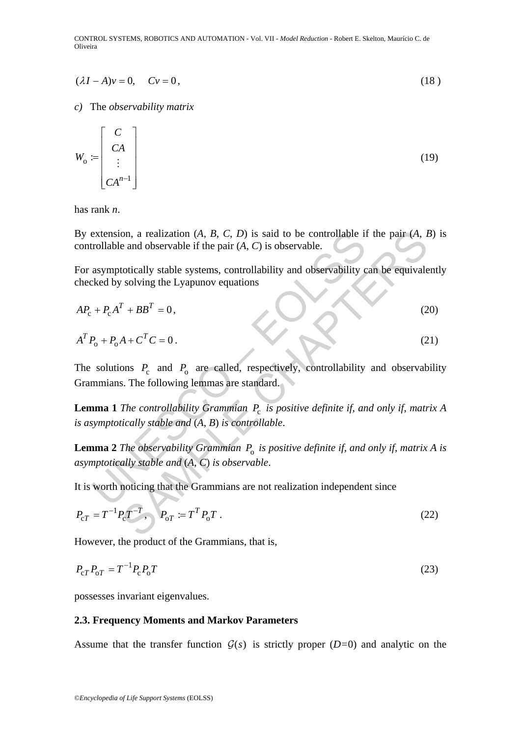$$
(\lambda I - A)v = 0, \qquad Cv = 0,
$$
\n<sup>(18)</sup>

*c)* The *observability matrix*

$$
W_o := \begin{bmatrix} C \\ CA \\ \vdots \\ CA^{n-1} \end{bmatrix} \tag{19}
$$

has rank *n*.

By extension, a realization (*A*, *B*, *C*, *D*) is said to be controllable if the pair (*A*, *B*) is controllable and observable if the pair (*A*, *C*) is observable.

For asymptotically stable systems, controllability and observability can be equivalently checked by solving the Lyapunov equations

By extension, a realization (*A*, *B*, *C*, *D*) is said to be controllable if the pair (*A*, *B*)  
controllable and observable if the pair (*A*, *C*) is observable.  
For asymptotically stable systems, controllability and observability can be equivalent  
checked by solving the Lyapunov equations  

$$
AP_c + P_cA^T + BB^T = 0
$$
, (20)  
 $A^T P_o + P_oA + C^T C = 0$ . (21)  
The solutions  $P_c$  and  $P_o$  are called, respectively, controllability and observability  
Gramminans. The following lemmas are standard.  
**Lemma 1** The controllability Grammina  $P_c$  is positive definite if, and only if, matrix  
is asymptotically stable and (*A*, *B*) is controllable.  
**Lemma 2** The observability Grammian  $P_o$  is positive definite if, and only if, matrix *A*  
asymptotically stable and (*A*, *C*) is observable.  
It is worth noticing that the Gramminans are not realization independent since  
 $P_{cT} = T^{-1}P_cT^{-T}$ ,  $P_{oT} := T^T P_oT$ . (22)

The solutions  $P_c$  and  $P_o$  are called, respectively, controllability and observability Grammians. The following lemmas are standard.

**Lemma 1** *The controllability Grammian*  $P_c$  *is positive definite if, and only if, matrix A is asymptotically stable and* (*A*, *B*) *is controllable*.

**Lemma 2** *The observability Grammian*  $P_0$  *is positive definite if, and only if, matrix A is asymptotically stable and* (*A*, *C*) *is observable*.

It is worth noticing that the Grammians are not realization independent since

$$
P_{cT} = T^{-1} P_c T^{-T}, \quad P_{oT} := T^T P_o T \tag{22}
$$

However, the product of the Grammians, that is,

$$
P_{\rm cT}P_{\rm oT} = T^{-1}P_{\rm c}P_{\rm o}T\tag{23}
$$

possesses invariant eigenvalues.

#### **2.3. Frequency Moments and Markov Parameters**

Assume that the transfer function  $G(s)$  is strictly proper (*D*=0) and analytic on the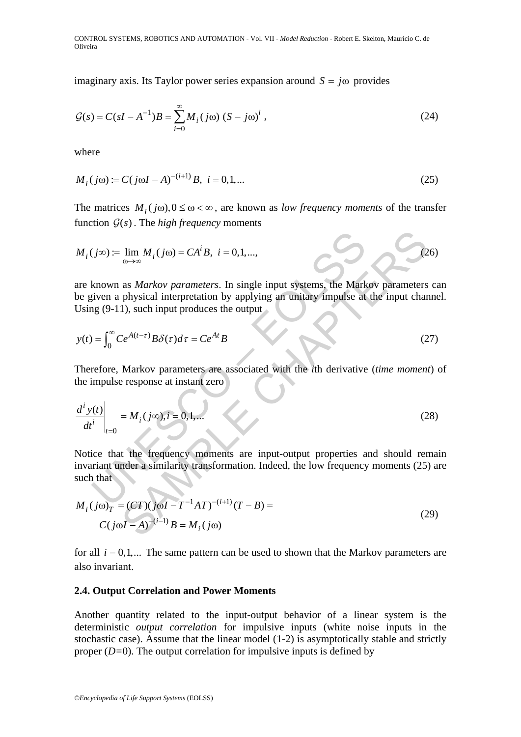imaginary axis. Its Taylor power series expansion around  $S = j\omega$  provides

$$
\mathcal{G}(s) = C(sI - A^{-1})B = \sum_{i=0}^{\infty} M_i (j\omega) (S - j\omega)^i,
$$
 (24)

where

$$
M_i(j\omega) := C(j\omega I - A)^{-(i+1)}B, \ i = 0, 1, \dots
$$
 (25)

The matrices  $M_i(j\omega), 0 \leq \omega < \infty$ , are known as *low frequency moments* of the transfer function  $G(s)$ . The *high frequency* moments

$$
M_i(j\infty) := \lim_{\omega \to \infty} M_i(j\omega) = CA^iB, \ i = 0, 1, ..., \tag{26}
$$

are known as *Markov parameters*. In single input systems, the Markov parameters can be given a physical interpretation by applying an unitary impulse at the input channel. Using (9-11), such input produces the output

$$
y(t) = \int_0^\infty Ce^{A(t-\tau)} B\delta(\tau) d\tau = Ce^{At}B
$$
 (27)

Therefore, Markov parameters are associated with the *i*th derivative (*time moment*) of the impulse response at instant zero

$$
M_i(j\infty) := \lim_{\omega \to \infty} M_i(j\omega) = CA^iB, \ i = 0, 1, \dots,
$$
  
are known as *Markov parameters*. In single input systems, the Markov parameters ca  
be given a physical interpretation by applying an unitary impulse at the input channel  
Using (9-11), such input produces the output  

$$
y(t) = \int_0^\infty Ce^{A(t-\tau)} B\delta(\tau) d\tau = Ce^{At}B
$$
(27)  
Therefore, Markov parameters are associated with the *i*th derivative (*time moment*)  
the impulse response at instant zero  

$$
\left. \frac{d^i y(t)}{dt^i} \right|_{t=0} = M_i(j\infty), i = 0, 1, \dots
$$
(28)  
Notice that the frequency moments are input-output properties and should remain  
invariant under a similarity transformation. Indeed, the low frequency moments (25) and  
such that  

$$
M_i(j\omega)_T = (CT)(j\omega I - T^{-1}AT)^{-(i+1)}(T - B) =
$$
(29)

Notice that the frequency moments are input-output properties and should remain invariant under a similarity transformation. Indeed, the low frequency moments (25) are such that

$$
M_i (j\omega)_T = (CT)(j\omega I - T^{-1}AT)^{-(i+1)}(T - B) =
$$
  
\n
$$
C(j\omega I - A)^{-(i-1)}B = M_i (j\omega)
$$
\n(29)

for all  $i = 0,1,...$  The same pattern can be used to shown that the Markov parameters are also invariant.

#### **2.4. Output Correlation and Power Moments**

Another quantity related to the input-output behavior of a linear system is the deterministic *output correlation* for impulsive inputs (white noise inputs in the stochastic case). Assume that the linear model (1-2) is asymptotically stable and strictly proper (*D=*0). The output correlation for impulsive inputs is defined by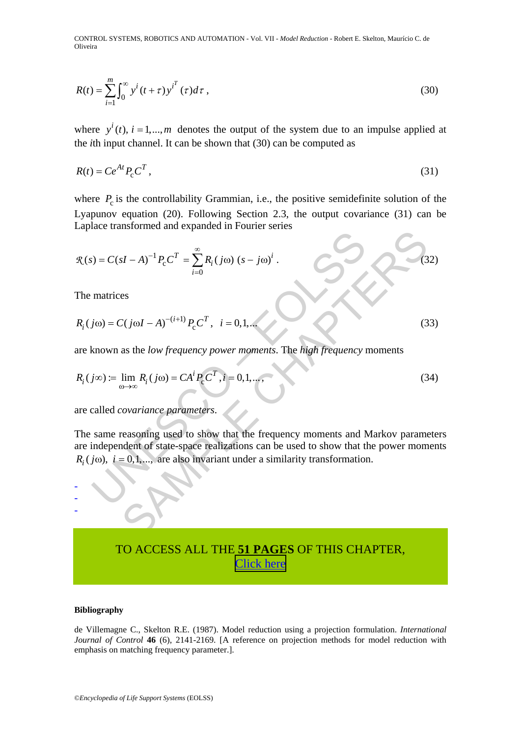$$
R(t) = \sum_{i=1}^{m} \int_0^{\infty} y^i (t + \tau) y^{i^T} (\tau) d\tau,
$$
\n(30)

where  $y^{i}(t)$ ,  $i = 1,..., m$  denotes the output of the system due to an impulse applied at the *i*th input channel. It can be shown that (30) can be computed as

$$
R(t) = Ce^{At} P_c C^T,
$$
\n(31)

where  $P_c$  is the controllability Grammian, i.e., the positive semidefinite solution of the Lyapunov equation (20). Following Section 2.3, the output covariance (31) can be Laplace transformed and expanded in Fourier series

$$
R(s) = C(sI - A)^{-1} P_c C^T = \sum_{i=0}^{\infty} R_i (j\omega) (s - j\omega)^i.
$$
  
The matrices  

$$
R_i (j\omega) = C(j\omega I - A)^{-(i+1)} P_c C^T, \quad i = 0, 1, ...
$$
  

$$
R_i (j\omega) := \lim_{\omega \to \infty} R_i (j\omega) = CA^i P_c C^T, \quad i = 0, 1, ...
$$
  
are called *covariance parameters*.  
The same reasoning used to show that the frequency moments and Markov parameter  
are independent of state-space realizations can be used to show that the power momen  
 $R_i (j\omega), i = 0, 1, ...$  are also invariant under a similarity transformation.

The matrices

$$
R_i(j\omega) = C(j\omega I - A)^{-(i+1)} P_c C^T, \quad i = 0, 1, \dots
$$
\n(33)

are known as the *low frequency power moments*. The *high frequency* moments

$$
R_i(j\infty) := \lim_{\omega \to \infty} R_i(j\omega) = CA^i P_c C^T, i = 0, 1, \dots,
$$
\n(34)

are called *covariance parameters*.

The same reasoning used to show that the frequency moments and Markov parameters are independent of state-space realizations can be used to show that the power moments  $R_i(j\omega)$ ,  $i = 0,1,...$ , are also invariant under a similarity transformation.

# TO ACCESS ALL THE **[51 PAGES](https://www.eolss.net/ebooklib/sc_cart.aspx?File=E6-43-13-07)** OF THIS CHAPTER, [Click here](http://www.eolss.net/Eolss-sampleAllChapter.aspx)

#### **Bibliography**

- - -

de Villemagne C., Skelton R.E. (1987). Model reduction using a projection formulation. *International Journal of Control* 46 (6), 2141-2169. [A reference on projection methods for model reduction with emphasis on matching frequency parameter.].